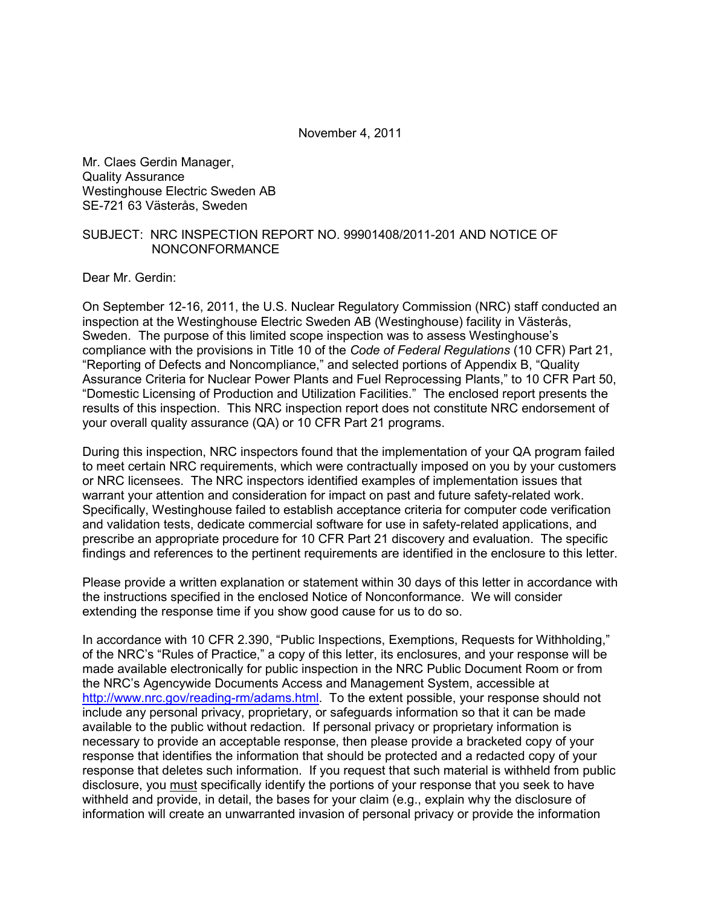November 4, 2011

Mr. Claes Gerdin Manager, Quality Assurance Westinghouse Electric Sweden AB SE-721 63 Västerås, Sweden

# SUBJECT: NRC INSPECTION REPORT NO. 99901408/2011-201 AND NOTICE OF NONCONFORMANCE

Dear Mr. Gerdin:

On September 12-16, 2011, the U.S. Nuclear Regulatory Commission (NRC) staff conducted an inspection at the Westinghouse Electric Sweden AB (Westinghouse) facility in Västerås, Sweden. The purpose of this limited scope inspection was to assess Westinghouse's compliance with the provisions in Title 10 of the *Code of Federal Regulations* (10 CFR) Part 21, "Reporting of Defects and Noncompliance," and selected portions of Appendix B, "Quality Assurance Criteria for Nuclear Power Plants and Fuel Reprocessing Plants," to 10 CFR Part 50, "Domestic Licensing of Production and Utilization Facilities." The enclosed report presents the results of this inspection. This NRC inspection report does not constitute NRC endorsement of your overall quality assurance (QA) or 10 CFR Part 21 programs.

During this inspection, NRC inspectors found that the implementation of your QA program failed to meet certain NRC requirements, which were contractually imposed on you by your customers or NRC licensees. The NRC inspectors identified examples of implementation issues that warrant your attention and consideration for impact on past and future safety-related work. Specifically, Westinghouse failed to establish acceptance criteria for computer code verification and validation tests, dedicate commercial software for use in safety-related applications, and prescribe an appropriate procedure for 10 CFR Part 21 discovery and evaluation. The specific findings and references to the pertinent requirements are identified in the enclosure to this letter.

Please provide a written explanation or statement within 30 days of this letter in accordance with the instructions specified in the enclosed Notice of Nonconformance. We will consider extending the response time if you show good cause for us to do so.

In accordance with 10 CFR 2.390, "Public Inspections, Exemptions, Requests for Withholding," of the NRC's "Rules of Practice," a copy of this letter, its enclosures, and your response will be made available electronically for public inspection in the NRC Public Document Room or from the NRC's Agencywide Documents Access and Management System, accessible at http://www.nrc.gov/reading-rm/adams.html. To the extent possible, your response should not include any personal privacy, proprietary, or safeguards information so that it can be made available to the public without redaction. If personal privacy or proprietary information is necessary to provide an acceptable response, then please provide a bracketed copy of your response that identifies the information that should be protected and a redacted copy of your response that deletes such information. If you request that such material is withheld from public disclosure, you must specifically identify the portions of your response that you seek to have withheld and provide, in detail, the bases for your claim (e.g., explain why the disclosure of information will create an unwarranted invasion of personal privacy or provide the information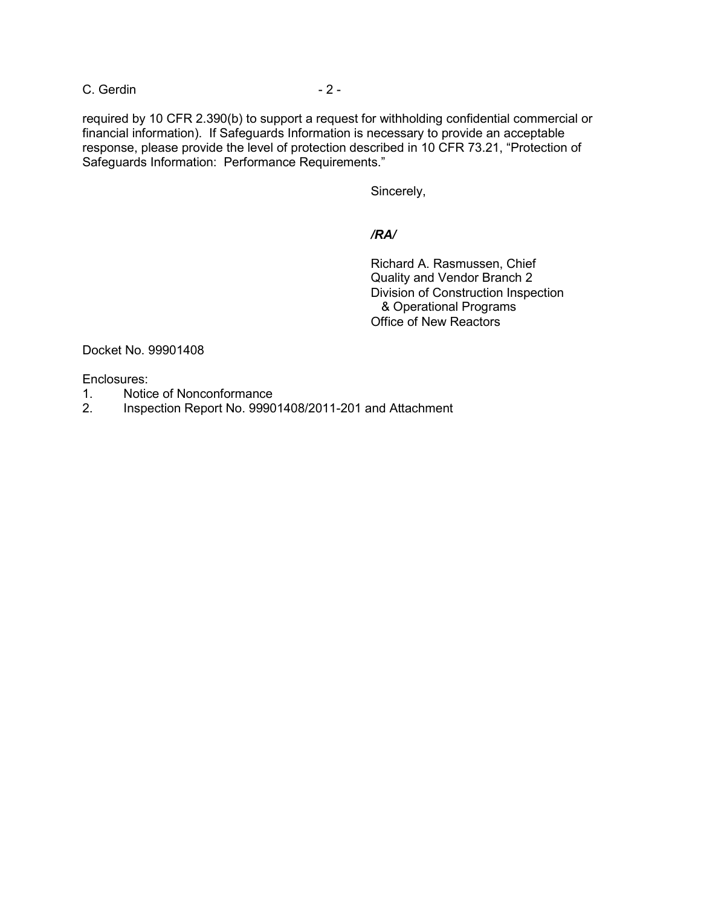C. Gerdin - 2 -

required by 10 CFR 2.390(b) to support a request for withholding confidential commercial or financial information). If Safeguards Information is necessary to provide an acceptable response, please provide the level of protection described in 10 CFR 73.21, "Protection of Safeguards Information: Performance Requirements."

Sincerely,

*/RA/* 

 Richard A. Rasmussen, Chief Quality and Vendor Branch 2 Division of Construction Inspection & Operational Programs Office of New Reactors

Docket No. 99901408

Enclosures:

- 1. Notice of Nonconformance
- 2. Inspection Report No. 99901408/2011-201 and Attachment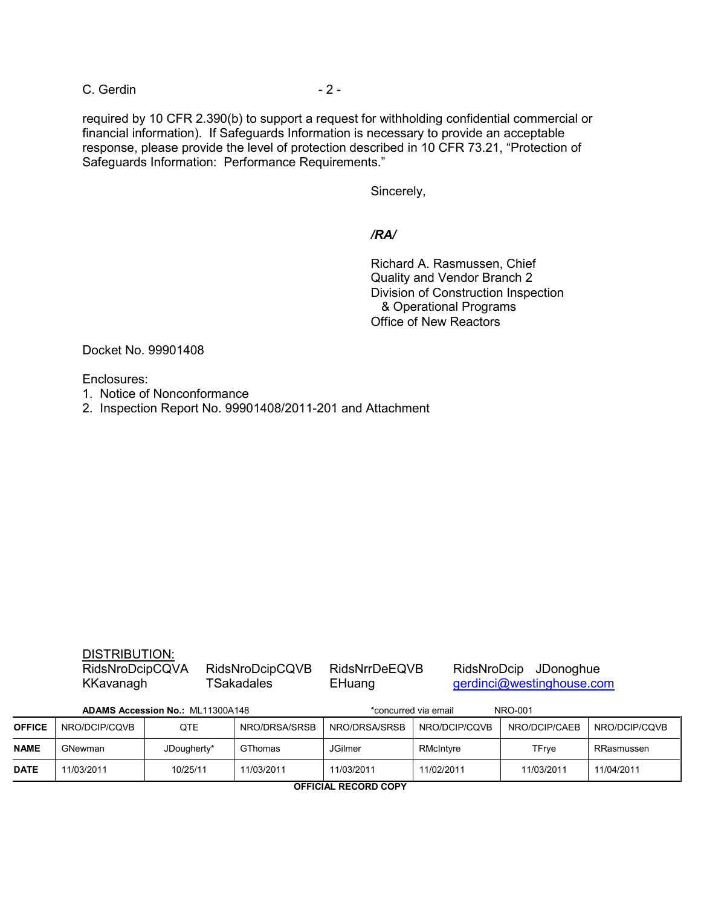C. Gerdin - 2 -

required by 10 CFR 2.390(b) to support a request for withholding confidential commercial or financial information). If Safeguards Information is necessary to provide an acceptable response, please provide the level of protection described in 10 CFR 73.21, "Protection of Safeguards Information: Performance Requirements."

Sincerely,

*/RA/* 

 Richard A. Rasmussen, Chief Quality and Vendor Branch 2 Division of Construction Inspection & Operational Programs Office of New Reactors

Docket No. 99901408

Enclosures:

- 1. Notice of Nonconformance
- 2. Inspection Report No. 99901408/2011-201 and Attachment

|                                  | <b>DISTRIBUTION:</b><br>RidsNroDcipCQVA<br>KKavanagh |     | RidsNroDcipCQVB<br><b>TSakadales</b> | <b>RidsNrrDeEQVB</b><br>EHuang  |               | RidsNroDcip JDonoghue<br>gerdinci@westinghouse.com |        |  |
|----------------------------------|------------------------------------------------------|-----|--------------------------------------|---------------------------------|---------------|----------------------------------------------------|--------|--|
| ADAMS Accession No.: ML11300A148 |                                                      |     |                                      | *concurred via email<br>NRO-001 |               |                                                    |        |  |
| FICE.                            | NRO/DCIP/CQVB                                        | QTE | NRO/DRSA/SRSB                        | NRO/DRSA/SRSB                   | NRO/DCIP/CQVB | NRO/DCIP/CAEB                                      | NRO/DC |  |

| OFFICE      | NRO/DCIP/CQVB | QTE         | NRO/DRSA/SRSB  | NRO/DRSA/SRSB  | NRO/DCIP/CQVB | NRO/DCIP/CAEB | NRO/DCIP/CQVB |
|-------------|---------------|-------------|----------------|----------------|---------------|---------------|---------------|
| <b>NAME</b> | GNewman       | JDougherty* | <b>GThomas</b> | <b>JGilmer</b> | RMcIntyre     | TFrye         | RRasmussen    |
| <b>DATE</b> | 11/03/2011    | 10/25/11    | 11/03/2011     | 11/03/2011     | 11/02/2011    | 11/03/2011    | 11/04/2011    |

**OFFICIAL RECORD COPY**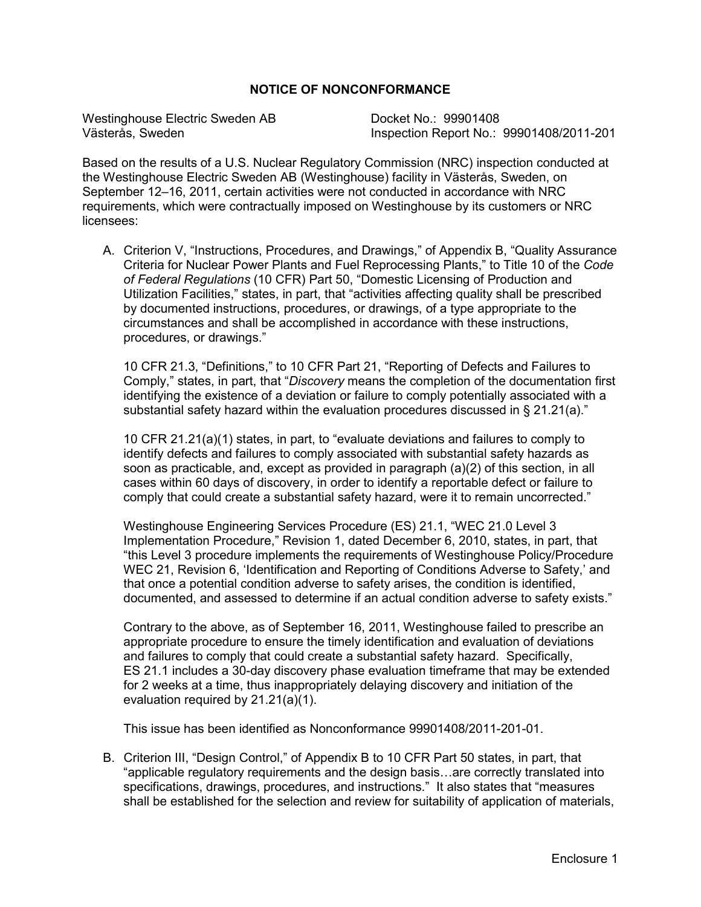## **NOTICE OF NONCONFORMANCE**

Westinghouse Electric Sweden AB Docket No.: 99901408<br>Västerås. Sweden No.: Inspection Report No.:

Inspection Report No.: 99901408/2011-201

Based on the results of a U.S. Nuclear Regulatory Commission (NRC) inspection conducted at the Westinghouse Electric Sweden AB (Westinghouse) facility in Västerås, Sweden, on September 12–16, 2011, certain activities were not conducted in accordance with NRC requirements, which were contractually imposed on Westinghouse by its customers or NRC licensees:

A. Criterion V, "Instructions, Procedures, and Drawings," of Appendix B, "Quality Assurance Criteria for Nuclear Power Plants and Fuel Reprocessing Plants," to Title 10 of the *Code of Federal Regulations* (10 CFR) Part 50, "Domestic Licensing of Production and Utilization Facilities," states, in part, that "activities affecting quality shall be prescribed by documented instructions, procedures, or drawings, of a type appropriate to the circumstances and shall be accomplished in accordance with these instructions, procedures, or drawings."

10 CFR 21.3, "Definitions," to 10 CFR Part 21, "Reporting of Defects and Failures to Comply," states, in part, that "*Discovery* means the completion of the documentation first identifying the existence of a deviation or failure to comply potentially associated with a substantial safety hazard within the evaluation procedures discussed in § 21.21(a)."

10 CFR 21.21(a)(1) states, in part, to "evaluate deviations and failures to comply to identify defects and failures to comply associated with substantial safety hazards as soon as practicable, and, except as provided in paragraph (a)(2) of this section, in all cases within 60 days of discovery, in order to identify a reportable defect or failure to comply that could create a substantial safety hazard, were it to remain uncorrected."

Westinghouse Engineering Services Procedure (ES) 21.1, "WEC 21.0 Level 3 Implementation Procedure," Revision 1, dated December 6, 2010, states, in part, that "this Level 3 procedure implements the requirements of Westinghouse Policy/Procedure WEC 21, Revision 6, 'Identification and Reporting of Conditions Adverse to Safety,' and that once a potential condition adverse to safety arises, the condition is identified, documented, and assessed to determine if an actual condition adverse to safety exists."

Contrary to the above, as of September 16, 2011, Westinghouse failed to prescribe an appropriate procedure to ensure the timely identification and evaluation of deviations and failures to comply that could create a substantial safety hazard. Specifically, ES 21.1 includes a 30-day discovery phase evaluation timeframe that may be extended for 2 weeks at a time, thus inappropriately delaying discovery and initiation of the evaluation required by 21.21(a)(1).

This issue has been identified as Nonconformance 99901408/2011-201-01.

B. Criterion III, "Design Control," of Appendix B to 10 CFR Part 50 states, in part, that "applicable regulatory requirements and the design basis…are correctly translated into specifications, drawings, procedures, and instructions." It also states that "measures shall be established for the selection and review for suitability of application of materials,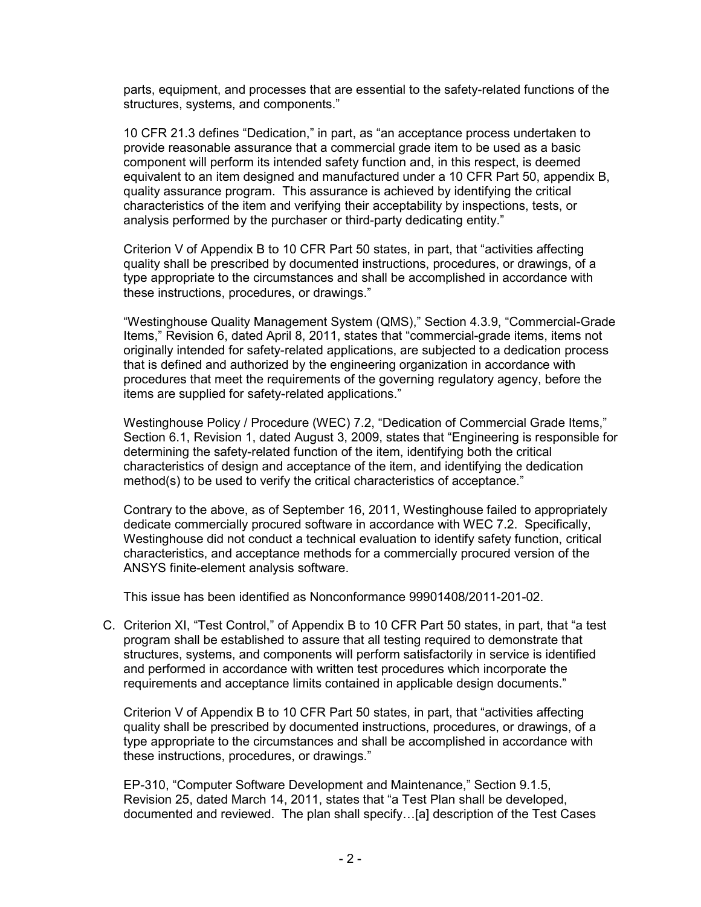parts, equipment, and processes that are essential to the safety-related functions of the structures, systems, and components."

10 CFR 21.3 defines "Dedication," in part, as "an acceptance process undertaken to provide reasonable assurance that a commercial grade item to be used as a basic component will perform its intended safety function and, in this respect, is deemed equivalent to an item designed and manufactured under a 10 CFR Part 50, appendix B, quality assurance program. This assurance is achieved by identifying the critical characteristics of the item and verifying their acceptability by inspections, tests, or analysis performed by the purchaser or third-party dedicating entity."

Criterion V of Appendix B to 10 CFR Part 50 states, in part, that "activities affecting quality shall be prescribed by documented instructions, procedures, or drawings, of a type appropriate to the circumstances and shall be accomplished in accordance with these instructions, procedures, or drawings."

"Westinghouse Quality Management System (QMS)," Section 4.3.9, "Commercial-Grade Items," Revision 6, dated April 8, 2011, states that "commercial-grade items, items not originally intended for safety-related applications, are subjected to a dedication process that is defined and authorized by the engineering organization in accordance with procedures that meet the requirements of the governing regulatory agency, before the items are supplied for safety-related applications."

Westinghouse Policy / Procedure (WEC) 7.2, "Dedication of Commercial Grade Items," Section 6.1, Revision 1, dated August 3, 2009, states that "Engineering is responsible for determining the safety-related function of the item, identifying both the critical characteristics of design and acceptance of the item, and identifying the dedication method(s) to be used to verify the critical characteristics of acceptance."

Contrary to the above, as of September 16, 2011, Westinghouse failed to appropriately dedicate commercially procured software in accordance with WEC 7.2. Specifically, Westinghouse did not conduct a technical evaluation to identify safety function, critical characteristics, and acceptance methods for a commercially procured version of the ANSYS finite-element analysis software.

This issue has been identified as Nonconformance 99901408/2011-201-02.

C. Criterion XI, "Test Control," of Appendix B to 10 CFR Part 50 states, in part, that "a test program shall be established to assure that all testing required to demonstrate that structures, systems, and components will perform satisfactorily in service is identified and performed in accordance with written test procedures which incorporate the requirements and acceptance limits contained in applicable design documents."

 Criterion V of Appendix B to 10 CFR Part 50 states, in part, that "activities affecting quality shall be prescribed by documented instructions, procedures, or drawings, of a type appropriate to the circumstances and shall be accomplished in accordance with these instructions, procedures, or drawings."

 EP-310, "Computer Software Development and Maintenance," Section 9.1.5, Revision 25, dated March 14, 2011, states that "a Test Plan shall be developed, documented and reviewed. The plan shall specify…[a] description of the Test Cases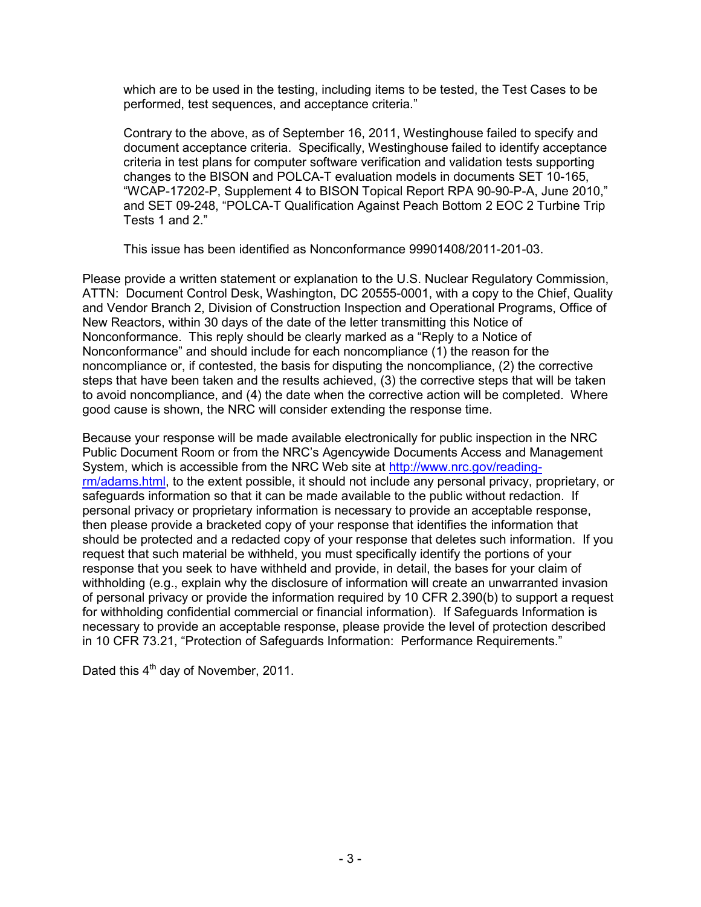which are to be used in the testing, including items to be tested, the Test Cases to be performed, test sequences, and acceptance criteria."

Contrary to the above, as of September 16, 2011, Westinghouse failed to specify and document acceptance criteria. Specifically, Westinghouse failed to identify acceptance criteria in test plans for computer software verification and validation tests supporting changes to the BISON and POLCA-T evaluation models in documents SET 10-165, "WCAP-17202-P, Supplement 4 to BISON Topical Report RPA 90-90-P-A, June 2010," and SET 09-248, "POLCA-T Qualification Against Peach Bottom 2 EOC 2 Turbine Trip Tests 1 and 2."

This issue has been identified as Nonconformance 99901408/2011-201-03.

Please provide a written statement or explanation to the U.S. Nuclear Regulatory Commission, ATTN: Document Control Desk, Washington, DC 20555-0001, with a copy to the Chief, Quality and Vendor Branch 2, Division of Construction Inspection and Operational Programs, Office of New Reactors, within 30 days of the date of the letter transmitting this Notice of Nonconformance. This reply should be clearly marked as a "Reply to a Notice of Nonconformance" and should include for each noncompliance (1) the reason for the noncompliance or, if contested, the basis for disputing the noncompliance, (2) the corrective steps that have been taken and the results achieved, (3) the corrective steps that will be taken to avoid noncompliance, and (4) the date when the corrective action will be completed. Where good cause is shown, the NRC will consider extending the response time.

Because your response will be made available electronically for public inspection in the NRC Public Document Room or from the NRC's Agencywide Documents Access and Management System, which is accessible from the NRC Web site at http://www.nrc.gov/readingrm/adams.html, to the extent possible, it should not include any personal privacy, proprietary, or safeguards information so that it can be made available to the public without redaction. If personal privacy or proprietary information is necessary to provide an acceptable response, then please provide a bracketed copy of your response that identifies the information that should be protected and a redacted copy of your response that deletes such information. If you request that such material be withheld, you must specifically identify the portions of your response that you seek to have withheld and provide, in detail, the bases for your claim of withholding (e.g., explain why the disclosure of information will create an unwarranted invasion of personal privacy or provide the information required by 10 CFR 2.390(b) to support a request for withholding confidential commercial or financial information). If Safeguards Information is necessary to provide an acceptable response, please provide the level of protection described in 10 CFR 73.21, "Protection of Safeguards Information: Performance Requirements."

Dated this  $4<sup>th</sup>$  day of November, 2011.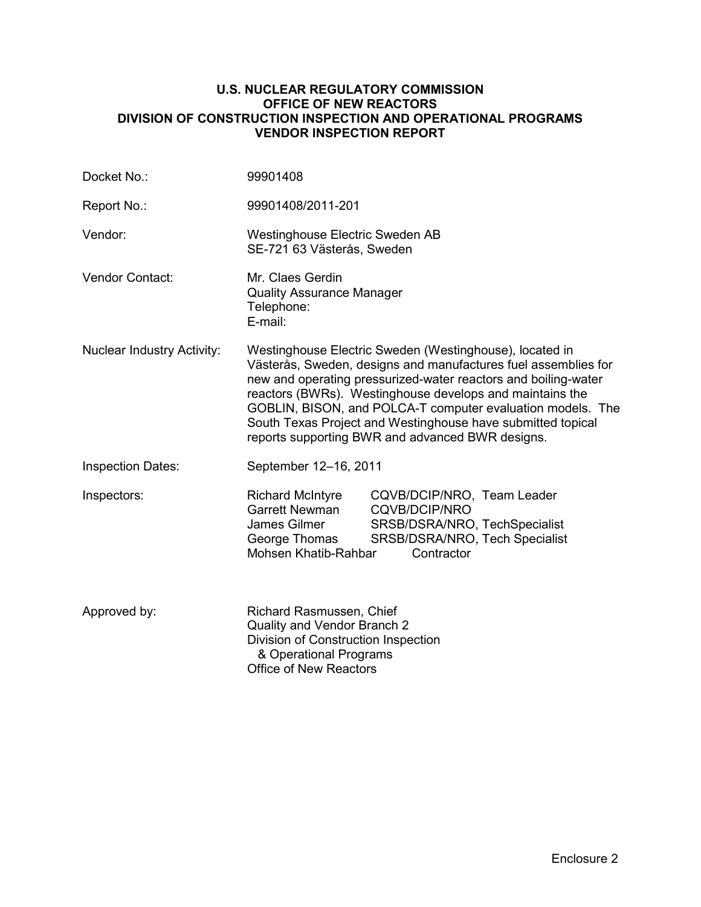## **U.S. NUCLEAR REGULATORY COMMISSION OFFICE OF NEW REACTORS DIVISION OF CONSTRUCTION INSPECTION AND OPERATIONAL PROGRAMS VENDOR INSPECTION REPORT**

| Docket No.:                       | 99901408                                                                                                                                                                                                                                                                                                                                                                                                                                 |                                                                                                                                     |  |  |
|-----------------------------------|------------------------------------------------------------------------------------------------------------------------------------------------------------------------------------------------------------------------------------------------------------------------------------------------------------------------------------------------------------------------------------------------------------------------------------------|-------------------------------------------------------------------------------------------------------------------------------------|--|--|
| Report No.:                       | 99901408/2011-201                                                                                                                                                                                                                                                                                                                                                                                                                        |                                                                                                                                     |  |  |
| Vendor:                           | Westinghouse Electric Sweden AB<br>SE-721 63 Västerås, Sweden                                                                                                                                                                                                                                                                                                                                                                            |                                                                                                                                     |  |  |
| <b>Vendor Contact:</b>            | Mr. Claes Gerdin<br><b>Quality Assurance Manager</b><br>Telephone:<br>E-mail:                                                                                                                                                                                                                                                                                                                                                            |                                                                                                                                     |  |  |
| <b>Nuclear Industry Activity:</b> | Westinghouse Electric Sweden (Westinghouse), located in<br>Västerås, Sweden, designs and manufactures fuel assemblies for<br>new and operating pressurized-water reactors and boiling-water<br>reactors (BWRs). Westinghouse develops and maintains the<br>GOBLIN, BISON, and POLCA-T computer evaluation models. The<br>South Texas Project and Westinghouse have submitted topical<br>reports supporting BWR and advanced BWR designs. |                                                                                                                                     |  |  |
| <b>Inspection Dates:</b>          | September 12-16, 2011                                                                                                                                                                                                                                                                                                                                                                                                                    |                                                                                                                                     |  |  |
| Inspectors:                       | <b>Richard McIntyre</b><br><b>Garrett Newman</b><br>James Gilmer<br>George Thomas<br>Mohsen Khatib-Rahbar                                                                                                                                                                                                                                                                                                                                | CQVB/DCIP/NRO, Team Leader<br><b>CQVB/DCIP/NRO</b><br>SRSB/DSRA/NRO, TechSpecialist<br>SRSB/DSRA/NRO, Tech Specialist<br>Contractor |  |  |
| Approved by:                      | Richard Rasmussen, Chief<br>Quality and Vendor Branch 2<br>Division of Construction Inspection<br>& Operational Programs<br><b>Office of New Reactors</b>                                                                                                                                                                                                                                                                                |                                                                                                                                     |  |  |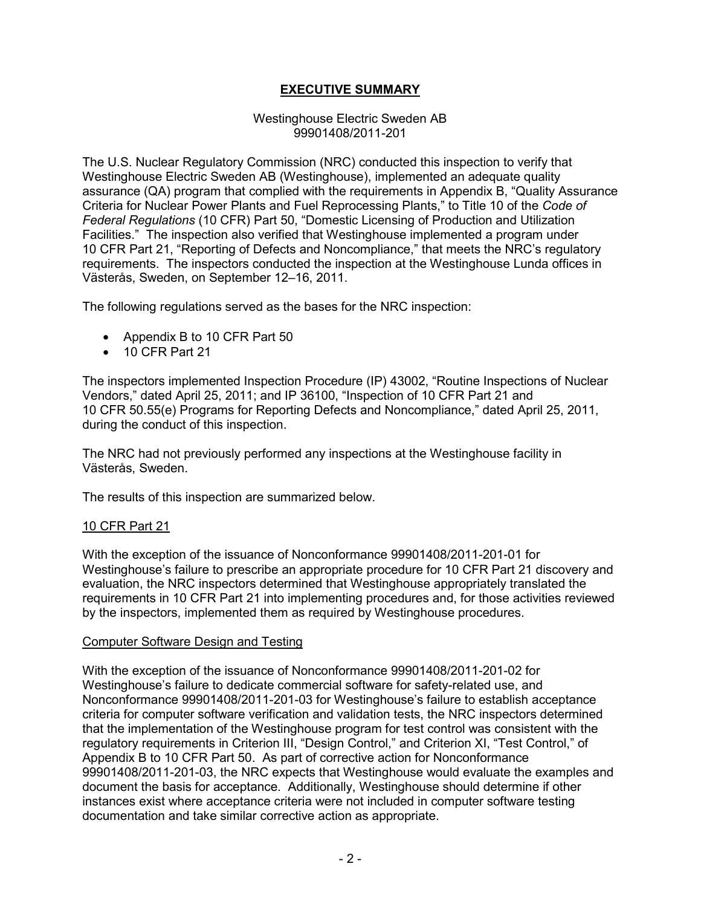# **EXECUTIVE SUMMARY**

#### Westinghouse Electric Sweden AB 99901408/2011-201

The U.S. Nuclear Regulatory Commission (NRC) conducted this inspection to verify that Westinghouse Electric Sweden AB (Westinghouse), implemented an adequate quality assurance (QA) program that complied with the requirements in Appendix B, "Quality Assurance Criteria for Nuclear Power Plants and Fuel Reprocessing Plants," to Title 10 of the *Code of Federal Regulations* (10 CFR) Part 50, "Domestic Licensing of Production and Utilization Facilities." The inspection also verified that Westinghouse implemented a program under 10 CFR Part 21, "Reporting of Defects and Noncompliance," that meets the NRC's regulatory requirements. The inspectors conducted the inspection at the Westinghouse Lunda offices in Västerås, Sweden, on September 12–16, 2011.

The following regulations served as the bases for the NRC inspection:

- Appendix B to 10 CFR Part 50
- 10 CFR Part 21

The inspectors implemented Inspection Procedure (IP) 43002, "Routine Inspections of Nuclear Vendors," dated April 25, 2011; and IP 36100, "Inspection of 10 CFR Part 21 and 10 CFR 50.55(e) Programs for Reporting Defects and Noncompliance," dated April 25, 2011, during the conduct of this inspection.

The NRC had not previously performed any inspections at the Westinghouse facility in Västerås, Sweden.

The results of this inspection are summarized below.

#### 10 CFR Part 21

With the exception of the issuance of Nonconformance 99901408/2011-201-01 for Westinghouse's failure to prescribe an appropriate procedure for 10 CFR Part 21 discovery and evaluation, the NRC inspectors determined that Westinghouse appropriately translated the requirements in 10 CFR Part 21 into implementing procedures and, for those activities reviewed by the inspectors, implemented them as required by Westinghouse procedures.

#### Computer Software Design and Testing

With the exception of the issuance of Nonconformance 99901408/2011-201-02 for Westinghouse's failure to dedicate commercial software for safety-related use, and Nonconformance 99901408/2011-201-03 for Westinghouse's failure to establish acceptance criteria for computer software verification and validation tests, the NRC inspectors determined that the implementation of the Westinghouse program for test control was consistent with the regulatory requirements in Criterion III, "Design Control," and Criterion XI, "Test Control," of Appendix B to 10 CFR Part 50. As part of corrective action for Nonconformance 99901408/2011-201-03, the NRC expects that Westinghouse would evaluate the examples and document the basis for acceptance. Additionally, Westinghouse should determine if other instances exist where acceptance criteria were not included in computer software testing documentation and take similar corrective action as appropriate.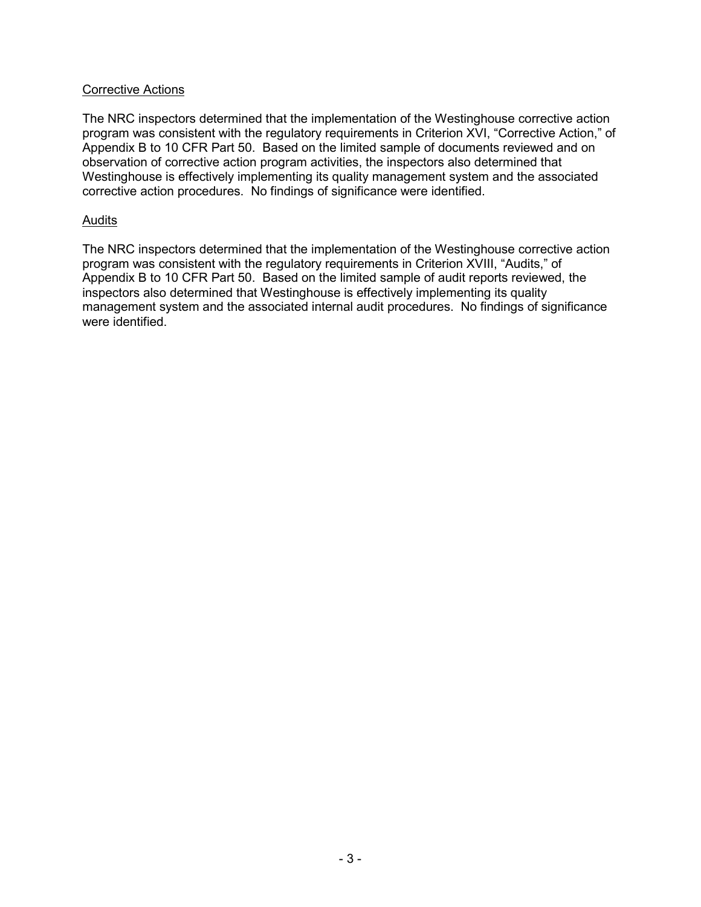## Corrective Actions

The NRC inspectors determined that the implementation of the Westinghouse corrective action program was consistent with the regulatory requirements in Criterion XVI, "Corrective Action," of Appendix B to 10 CFR Part 50. Based on the limited sample of documents reviewed and on observation of corrective action program activities, the inspectors also determined that Westinghouse is effectively implementing its quality management system and the associated corrective action procedures. No findings of significance were identified.

## Audits

The NRC inspectors determined that the implementation of the Westinghouse corrective action program was consistent with the regulatory requirements in Criterion XVIII, "Audits," of Appendix B to 10 CFR Part 50. Based on the limited sample of audit reports reviewed, the inspectors also determined that Westinghouse is effectively implementing its quality management system and the associated internal audit procedures. No findings of significance were identified.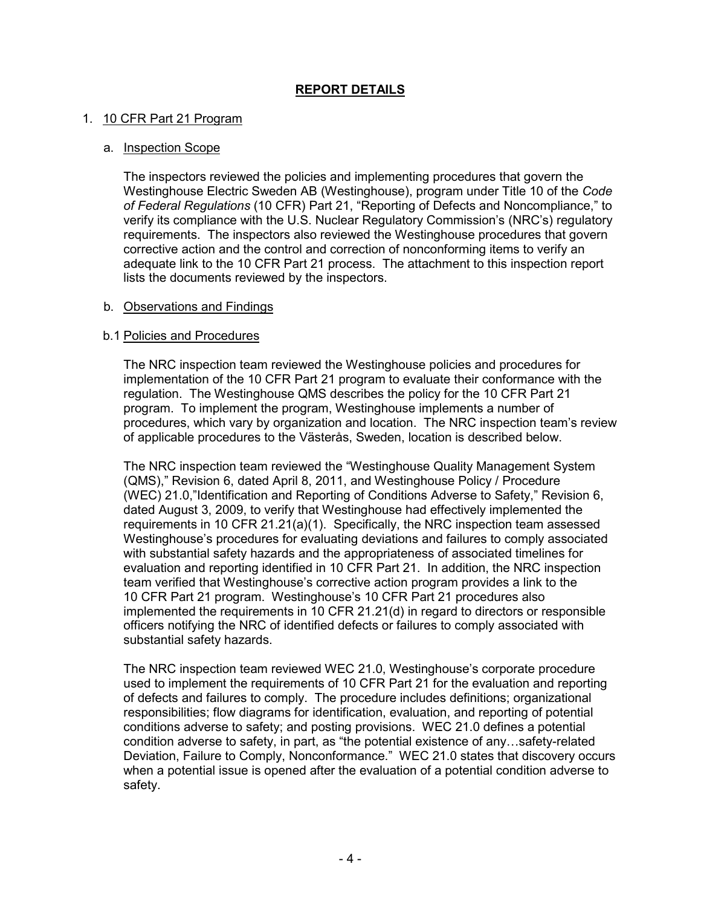# 1. 10 CFR Part 21 Program

## a. Inspection Scope

The inspectors reviewed the policies and implementing procedures that govern the Westinghouse Electric Sweden AB (Westinghouse), program under Title 10 of the *Code of Federal Regulations* (10 CFR) Part 21, "Reporting of Defects and Noncompliance," to verify its compliance with the U.S. Nuclear Regulatory Commission's (NRC's) regulatory requirements. The inspectors also reviewed the Westinghouse procedures that govern corrective action and the control and correction of nonconforming items to verify an adequate link to the 10 CFR Part 21 process. The attachment to this inspection report lists the documents reviewed by the inspectors.

## b. Observations and Findings

## b.1 Policies and Procedures

The NRC inspection team reviewed the Westinghouse policies and procedures for implementation of the 10 CFR Part 21 program to evaluate their conformance with the regulation. The Westinghouse QMS describes the policy for the 10 CFR Part 21 program. To implement the program, Westinghouse implements a number of procedures, which vary by organization and location. The NRC inspection team's review of applicable procedures to the Västerås, Sweden, location is described below.

The NRC inspection team reviewed the "Westinghouse Quality Management System (QMS)," Revision 6, dated April 8, 2011, and Westinghouse Policy / Procedure (WEC) 21.0,"Identification and Reporting of Conditions Adverse to Safety," Revision 6, dated August 3, 2009, to verify that Westinghouse had effectively implemented the requirements in 10 CFR 21.21(a)(1). Specifically, the NRC inspection team assessed Westinghouse's procedures for evaluating deviations and failures to comply associated with substantial safety hazards and the appropriateness of associated timelines for evaluation and reporting identified in 10 CFR Part 21. In addition, the NRC inspection team verified that Westinghouse's corrective action program provides a link to the 10 CFR Part 21 program. Westinghouse's 10 CFR Part 21 procedures also implemented the requirements in 10 CFR 21.21(d) in regard to directors or responsible officers notifying the NRC of identified defects or failures to comply associated with substantial safety hazards.

The NRC inspection team reviewed WEC 21.0, Westinghouse's corporate procedure used to implement the requirements of 10 CFR Part 21 for the evaluation and reporting of defects and failures to comply. The procedure includes definitions; organizational responsibilities; flow diagrams for identification, evaluation, and reporting of potential conditions adverse to safety; and posting provisions. WEC 21.0 defines a potential condition adverse to safety, in part, as "the potential existence of any…safety-related Deviation, Failure to Comply, Nonconformance." WEC 21.0 states that discovery occurs when a potential issue is opened after the evaluation of a potential condition adverse to safety.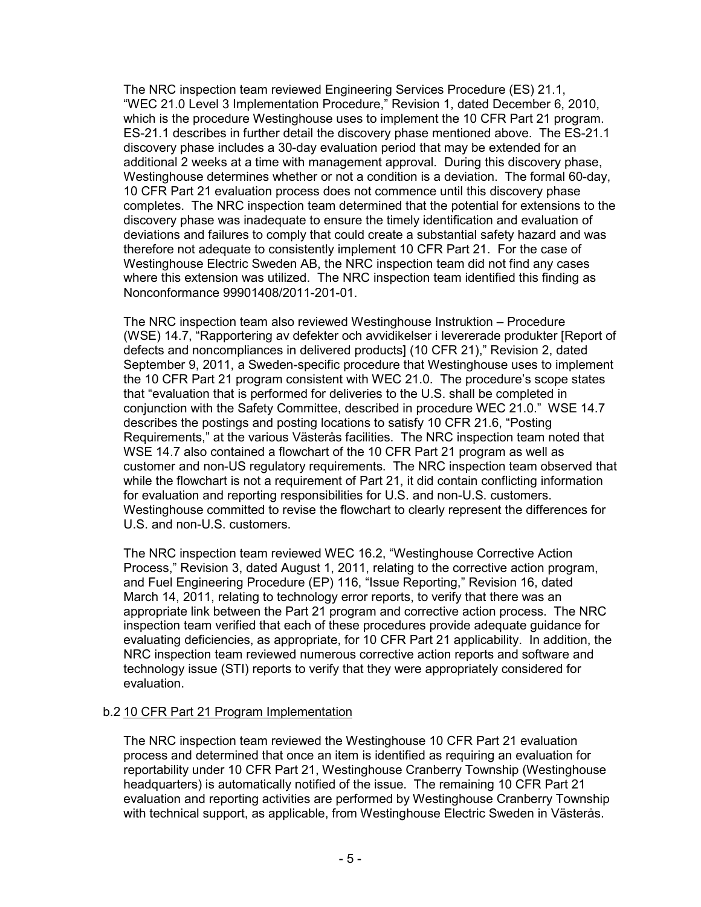The NRC inspection team reviewed Engineering Services Procedure (ES) 21.1, "WEC 21.0 Level 3 Implementation Procedure," Revision 1, dated December 6, 2010, which is the procedure Westinghouse uses to implement the 10 CFR Part 21 program. ES-21.1 describes in further detail the discovery phase mentioned above. The ES-21.1 discovery phase includes a 30-day evaluation period that may be extended for an additional 2 weeks at a time with management approval. During this discovery phase, Westinghouse determines whether or not a condition is a deviation. The formal 60-day, 10 CFR Part 21 evaluation process does not commence until this discovery phase completes. The NRC inspection team determined that the potential for extensions to the discovery phase was inadequate to ensure the timely identification and evaluation of deviations and failures to comply that could create a substantial safety hazard and was therefore not adequate to consistently implement 10 CFR Part 21. For the case of Westinghouse Electric Sweden AB, the NRC inspection team did not find any cases where this extension was utilized. The NRC inspection team identified this finding as Nonconformance 99901408/2011-201-01.

The NRC inspection team also reviewed Westinghouse Instruktion – Procedure (WSE) 14.7, "Rapportering av defekter och avvidikelser i levererade produkter [Report of defects and noncompliances in delivered products] (10 CFR 21)," Revision 2, dated September 9, 2011, a Sweden-specific procedure that Westinghouse uses to implement the 10 CFR Part 21 program consistent with WEC 21.0. The procedure's scope states that "evaluation that is performed for deliveries to the U.S. shall be completed in conjunction with the Safety Committee, described in procedure WEC 21.0." WSE 14.7 describes the postings and posting locations to satisfy 10 CFR 21.6, "Posting Requirements," at the various Västerås facilities. The NRC inspection team noted that WSE 14.7 also contained a flowchart of the 10 CFR Part 21 program as well as customer and non-US regulatory requirements. The NRC inspection team observed that while the flowchart is not a requirement of Part 21, it did contain conflicting information for evaluation and reporting responsibilities for U.S. and non-U.S. customers. Westinghouse committed to revise the flowchart to clearly represent the differences for U.S. and non-U.S. customers.

The NRC inspection team reviewed WEC 16.2, "Westinghouse Corrective Action Process," Revision 3, dated August 1, 2011, relating to the corrective action program, and Fuel Engineering Procedure (EP) 116, "Issue Reporting," Revision 16, dated March 14, 2011, relating to technology error reports, to verify that there was an appropriate link between the Part 21 program and corrective action process. The NRC inspection team verified that each of these procedures provide adequate guidance for evaluating deficiencies, as appropriate, for 10 CFR Part 21 applicability. In addition, the NRC inspection team reviewed numerous corrective action reports and software and technology issue (STI) reports to verify that they were appropriately considered for evaluation.

# b.2 10 CFR Part 21 Program Implementation

The NRC inspection team reviewed the Westinghouse 10 CFR Part 21 evaluation process and determined that once an item is identified as requiring an evaluation for reportability under 10 CFR Part 21, Westinghouse Cranberry Township (Westinghouse headquarters) is automatically notified of the issue. The remaining 10 CFR Part 21 evaluation and reporting activities are performed by Westinghouse Cranberry Township with technical support, as applicable, from Westinghouse Electric Sweden in Västerås.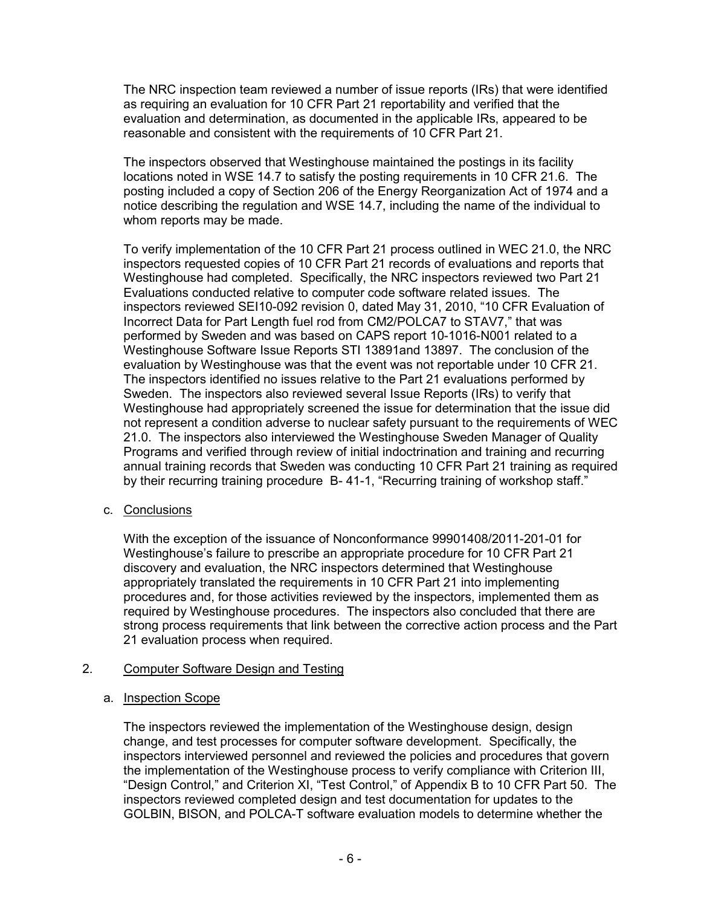The NRC inspection team reviewed a number of issue reports (IRs) that were identified as requiring an evaluation for 10 CFR Part 21 reportability and verified that the evaluation and determination, as documented in the applicable IRs, appeared to be reasonable and consistent with the requirements of 10 CFR Part 21.

The inspectors observed that Westinghouse maintained the postings in its facility locations noted in WSE 14.7 to satisfy the posting requirements in 10 CFR 21.6. The posting included a copy of Section 206 of the Energy Reorganization Act of 1974 and a notice describing the regulation and WSE 14.7, including the name of the individual to whom reports may be made.

To verify implementation of the 10 CFR Part 21 process outlined in WEC 21.0, the NRC inspectors requested copies of 10 CFR Part 21 records of evaluations and reports that Westinghouse had completed. Specifically, the NRC inspectors reviewed two Part 21 Evaluations conducted relative to computer code software related issues. The inspectors reviewed SEI10-092 revision 0, dated May 31, 2010, "10 CFR Evaluation of Incorrect Data for Part Length fuel rod from CM2/POLCA7 to STAV7," that was performed by Sweden and was based on CAPS report 10-1016-N001 related to a Westinghouse Software Issue Reports STI 13891and 13897. The conclusion of the evaluation by Westinghouse was that the event was not reportable under 10 CFR 21. The inspectors identified no issues relative to the Part 21 evaluations performed by Sweden. The inspectors also reviewed several Issue Reports (IRs) to verify that Westinghouse had appropriately screened the issue for determination that the issue did not represent a condition adverse to nuclear safety pursuant to the requirements of WEC 21.0. The inspectors also interviewed the Westinghouse Sweden Manager of Quality Programs and verified through review of initial indoctrination and training and recurring annual training records that Sweden was conducting 10 CFR Part 21 training as required by their recurring training procedure B- 41-1, "Recurring training of workshop staff."

# c. Conclusions

With the exception of the issuance of Nonconformance 99901408/2011-201-01 for Westinghouse's failure to prescribe an appropriate procedure for 10 CFR Part 21 discovery and evaluation, the NRC inspectors determined that Westinghouse appropriately translated the requirements in 10 CFR Part 21 into implementing procedures and, for those activities reviewed by the inspectors, implemented them as required by Westinghouse procedures. The inspectors also concluded that there are strong process requirements that link between the corrective action process and the Part 21 evaluation process when required.

# 2. Computer Software Design and Testing

# a. Inspection Scope

The inspectors reviewed the implementation of the Westinghouse design, design change, and test processes for computer software development. Specifically, the inspectors interviewed personnel and reviewed the policies and procedures that govern the implementation of the Westinghouse process to verify compliance with Criterion III, "Design Control," and Criterion XI, "Test Control," of Appendix B to 10 CFR Part 50. The inspectors reviewed completed design and test documentation for updates to the GOLBIN, BISON, and POLCA-T software evaluation models to determine whether the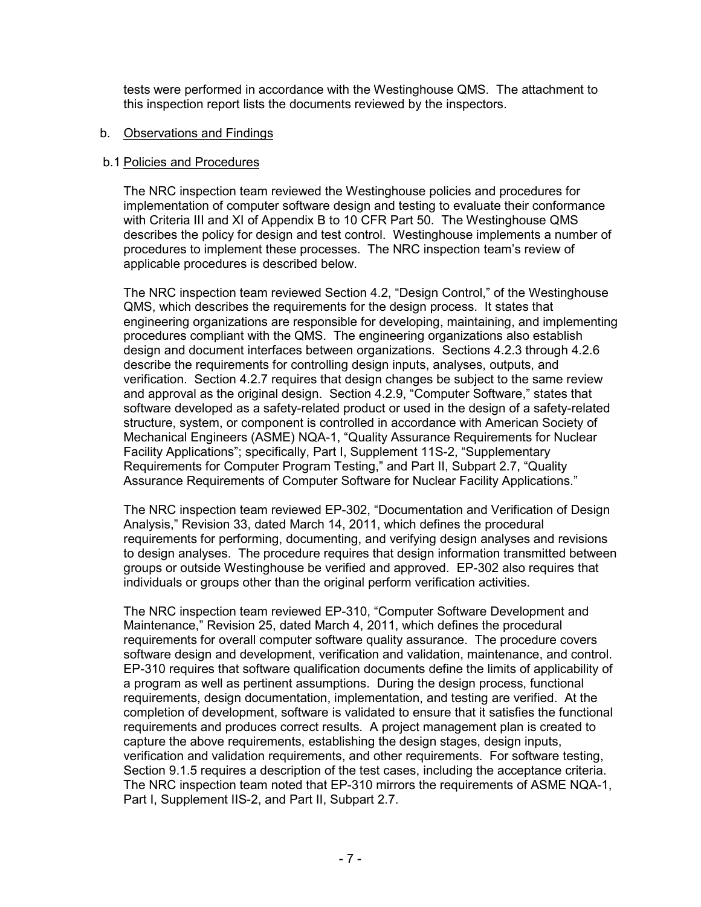tests were performed in accordance with the Westinghouse QMS. The attachment to this inspection report lists the documents reviewed by the inspectors.

#### b. Observations and Findings

## b.1 Policies and Procedures

The NRC inspection team reviewed the Westinghouse policies and procedures for implementation of computer software design and testing to evaluate their conformance with Criteria III and XI of Appendix B to 10 CFR Part 50. The Westinghouse QMS describes the policy for design and test control. Westinghouse implements a number of procedures to implement these processes. The NRC inspection team's review of applicable procedures is described below.

The NRC inspection team reviewed Section 4.2, "Design Control," of the Westinghouse QMS, which describes the requirements for the design process. It states that engineering organizations are responsible for developing, maintaining, and implementing procedures compliant with the QMS. The engineering organizations also establish design and document interfaces between organizations. Sections 4.2.3 through 4.2.6 describe the requirements for controlling design inputs, analyses, outputs, and verification. Section 4.2.7 requires that design changes be subject to the same review and approval as the original design. Section 4.2.9, "Computer Software," states that software developed as a safety-related product or used in the design of a safety-related structure, system, or component is controlled in accordance with American Society of Mechanical Engineers (ASME) NQA-1, "Quality Assurance Requirements for Nuclear Facility Applications"; specifically, Part I, Supplement 11S-2, "Supplementary Requirements for Computer Program Testing," and Part II, Subpart 2.7, "Quality Assurance Requirements of Computer Software for Nuclear Facility Applications."

The NRC inspection team reviewed EP-302, "Documentation and Verification of Design Analysis," Revision 33, dated March 14, 2011, which defines the procedural requirements for performing, documenting, and verifying design analyses and revisions to design analyses. The procedure requires that design information transmitted between groups or outside Westinghouse be verified and approved. EP-302 also requires that individuals or groups other than the original perform verification activities.

The NRC inspection team reviewed EP-310, "Computer Software Development and Maintenance," Revision 25, dated March 4, 2011, which defines the procedural requirements for overall computer software quality assurance. The procedure covers software design and development, verification and validation, maintenance, and control. EP-310 requires that software qualification documents define the limits of applicability of a program as well as pertinent assumptions. During the design process, functional requirements, design documentation, implementation, and testing are verified. At the completion of development, software is validated to ensure that it satisfies the functional requirements and produces correct results. A project management plan is created to capture the above requirements, establishing the design stages, design inputs, verification and validation requirements, and other requirements. For software testing, Section 9.1.5 requires a description of the test cases, including the acceptance criteria. The NRC inspection team noted that EP-310 mirrors the requirements of ASME NQA-1, Part I, Supplement IIS-2, and Part II, Subpart 2.7.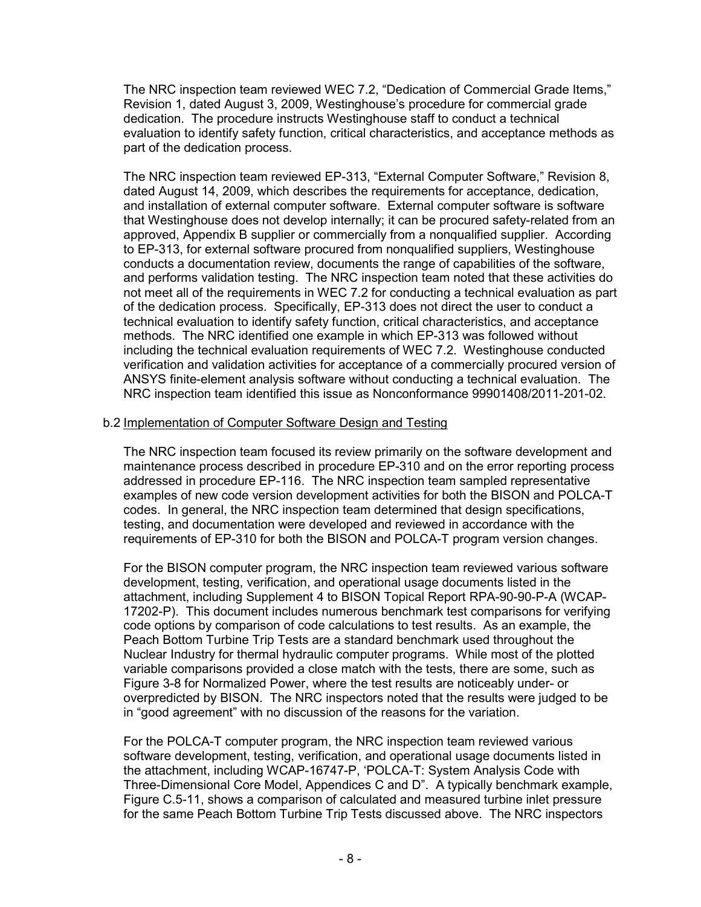The NRC inspection team reviewed WEC 7.2, "Dedication of Commercial Grade Items," Revision 1, dated August 3, 2009, Westinghouse's procedure for commercial grade dedication. The procedure instructs Westinghouse staff to conduct a technical evaluation to identify safety function, critical characteristics, and acceptance methods as part of the dedication process.

The NRC inspection team reviewed EP-313, "External Computer Software," Revision 8, dated August 14, 2009, which describes the requirements for acceptance, dedication, and installation of external computer software. External computer software is software that Westinghouse does not develop internally; it can be procured safety-related from an approved, Appendix B supplier or commercially from a nonqualified supplier. According to EP-313, for external software procured from nonqualified suppliers, Westinghouse conducts a documentation review, documents the range of capabilities of the software, and performs validation testing. The NRC inspection team noted that these activities do not meet all of the requirements in WEC 7.2 for conducting a technical evaluation as part of the dedication process. Specifically, EP-313 does not direct the user to conduct a technical evaluation to identify safety function, critical characteristics, and acceptance methods. The NRC identified one example in which EP-313 was followed without including the technical evaluation requirements of WEC 7.2. Westinghouse conducted verification and validation activities for acceptance of a commercially procured version of ANSYS finite-element analysis software without conducting a technical evaluation. The NRC inspection team identified this issue as Nonconformance 99901408/2011-201-02.

# b.2 Implementation of Computer Software Design and Testing

The NRC inspection team focused its review primarily on the software development and maintenance process described in procedure EP-310 and on the error reporting process addressed in procedure EP-116. The NRC inspection team sampled representative examples of new code version development activities for both the BISON and POLCA-T codes. In general, the NRC inspection team determined that design specifications, testing, and documentation were developed and reviewed in accordance with the requirements of EP-310 for both the BISON and POLCA-T program version changes.

For the BISON computer program, the NRC inspection team reviewed various software development, testing, verification, and operational usage documents listed in the attachment, including Supplement 4 to BISON Topical Report RPA-90-90-P-A (WCAP-17202-P). This document includes numerous benchmark test comparisons for verifying code options by comparison of code calculations to test results. As an example, the Peach Bottom Turbine Trip Tests are a standard benchmark used throughout the Nuclear Industry for thermal hydraulic computer programs. While most of the plotted variable comparisons provided a close match with the tests, there are some, such as Figure 3-8 for Normalized Power, where the test results are noticeably under- or overpredicted by BISON. The NRC inspectors noted that the results were judged to be in "good agreement" with no discussion of the reasons for the variation.

For the POLCA-T computer program, the NRC inspection team reviewed various software development, testing, verification, and operational usage documents listed in the attachment, including WCAP-16747-P, 'POLCA-T: System Analysis Code with Three-Dimensional Core Model, Appendices C and D". A typically benchmark example, Figure C.5-11, shows a comparison of calculated and measured turbine inlet pressure for the same Peach Bottom Turbine Trip Tests discussed above. The NRC inspectors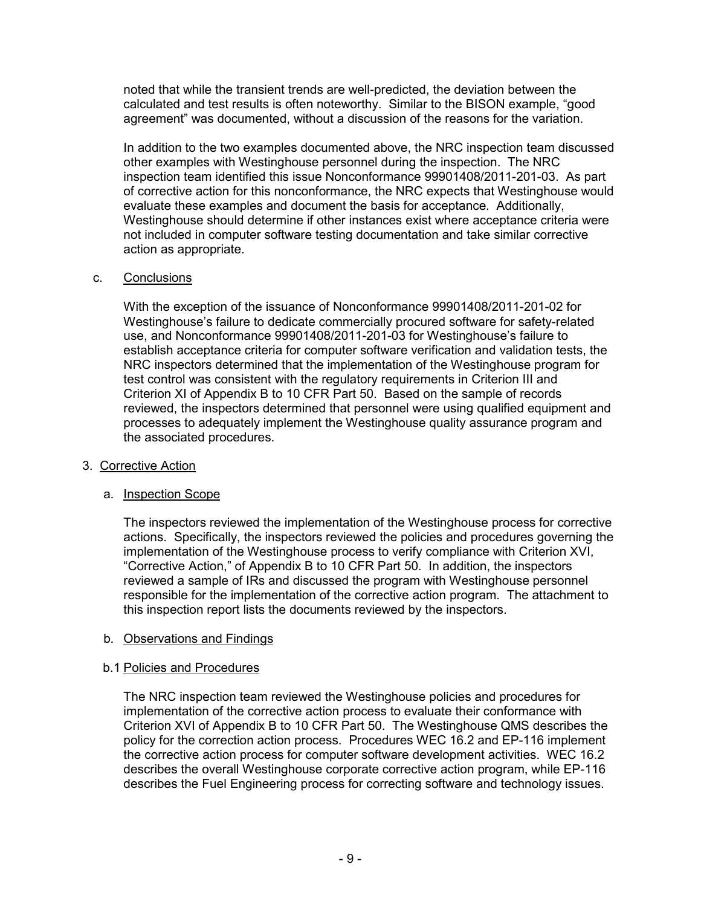noted that while the transient trends are well-predicted, the deviation between the calculated and test results is often noteworthy. Similar to the BISON example, "good agreement" was documented, without a discussion of the reasons for the variation.

In addition to the two examples documented above, the NRC inspection team discussed other examples with Westinghouse personnel during the inspection. The NRC inspection team identified this issue Nonconformance 99901408/2011-201-03. As part of corrective action for this nonconformance, the NRC expects that Westinghouse would evaluate these examples and document the basis for acceptance. Additionally, Westinghouse should determine if other instances exist where acceptance criteria were not included in computer software testing documentation and take similar corrective action as appropriate.

# c. Conclusions

With the exception of the issuance of Nonconformance 99901408/2011-201-02 for Westinghouse's failure to dedicate commercially procured software for safety-related use, and Nonconformance 99901408/2011-201-03 for Westinghouse's failure to establish acceptance criteria for computer software verification and validation tests, the NRC inspectors determined that the implementation of the Westinghouse program for test control was consistent with the regulatory requirements in Criterion III and Criterion XI of Appendix B to 10 CFR Part 50. Based on the sample of records reviewed, the inspectors determined that personnel were using qualified equipment and processes to adequately implement the Westinghouse quality assurance program and the associated procedures.

# 3. Corrective Action

# a. Inspection Scope

The inspectors reviewed the implementation of the Westinghouse process for corrective actions. Specifically, the inspectors reviewed the policies and procedures governing the implementation of the Westinghouse process to verify compliance with Criterion XVI, "Corrective Action," of Appendix B to 10 CFR Part 50. In addition, the inspectors reviewed a sample of IRs and discussed the program with Westinghouse personnel responsible for the implementation of the corrective action program. The attachment to this inspection report lists the documents reviewed by the inspectors.

# b. Observations and Findings

# b.1 Policies and Procedures

The NRC inspection team reviewed the Westinghouse policies and procedures for implementation of the corrective action process to evaluate their conformance with Criterion XVI of Appendix B to 10 CFR Part 50. The Westinghouse QMS describes the policy for the correction action process. Procedures WEC 16.2 and EP-116 implement the corrective action process for computer software development activities. WEC 16.2 describes the overall Westinghouse corporate corrective action program, while EP-116 describes the Fuel Engineering process for correcting software and technology issues.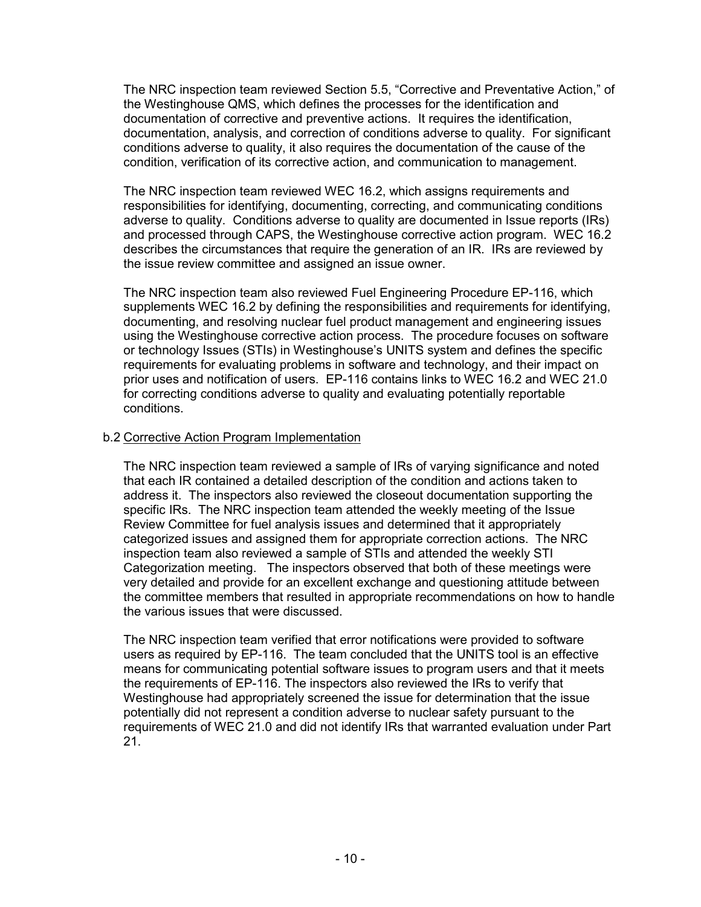The NRC inspection team reviewed Section 5.5, "Corrective and Preventative Action," of the Westinghouse QMS, which defines the processes for the identification and documentation of corrective and preventive actions. It requires the identification, documentation, analysis, and correction of conditions adverse to quality. For significant conditions adverse to quality, it also requires the documentation of the cause of the condition, verification of its corrective action, and communication to management.

The NRC inspection team reviewed WEC 16.2, which assigns requirements and responsibilities for identifying, documenting, correcting, and communicating conditions adverse to quality. Conditions adverse to quality are documented in Issue reports (IRs) and processed through CAPS, the Westinghouse corrective action program. WEC 16.2 describes the circumstances that require the generation of an IR. IRs are reviewed by the issue review committee and assigned an issue owner.

The NRC inspection team also reviewed Fuel Engineering Procedure EP-116, which supplements WEC 16.2 by defining the responsibilities and requirements for identifying, documenting, and resolving nuclear fuel product management and engineering issues using the Westinghouse corrective action process. The procedure focuses on software or technology Issues (STIs) in Westinghouse's UNITS system and defines the specific requirements for evaluating problems in software and technology, and their impact on prior uses and notification of users. EP-116 contains links to WEC 16.2 and WEC 21.0 for correcting conditions adverse to quality and evaluating potentially reportable conditions.

# b.2 Corrective Action Program Implementation

The NRC inspection team reviewed a sample of IRs of varying significance and noted that each IR contained a detailed description of the condition and actions taken to address it. The inspectors also reviewed the closeout documentation supporting the specific IRs. The NRC inspection team attended the weekly meeting of the Issue Review Committee for fuel analysis issues and determined that it appropriately categorized issues and assigned them for appropriate correction actions. The NRC inspection team also reviewed a sample of STIs and attended the weekly STI Categorization meeting. The inspectors observed that both of these meetings were very detailed and provide for an excellent exchange and questioning attitude between the committee members that resulted in appropriate recommendations on how to handle the various issues that were discussed.

The NRC inspection team verified that error notifications were provided to software users as required by EP-116. The team concluded that the UNITS tool is an effective means for communicating potential software issues to program users and that it meets the requirements of EP-116. The inspectors also reviewed the IRs to verify that Westinghouse had appropriately screened the issue for determination that the issue potentially did not represent a condition adverse to nuclear safety pursuant to the requirements of WEC 21.0 and did not identify IRs that warranted evaluation under Part 21.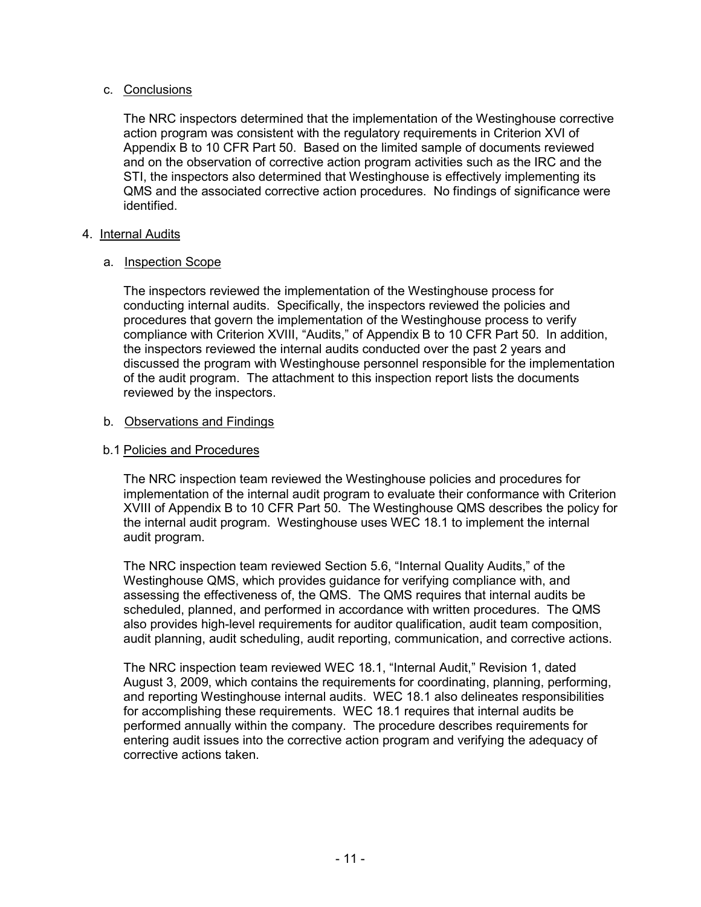# c. Conclusions

The NRC inspectors determined that the implementation of the Westinghouse corrective action program was consistent with the regulatory requirements in Criterion XVI of Appendix B to 10 CFR Part 50. Based on the limited sample of documents reviewed and on the observation of corrective action program activities such as the IRC and the STI, the inspectors also determined that Westinghouse is effectively implementing its QMS and the associated corrective action procedures. No findings of significance were identified.

# 4. Internal Audits

# a. Inspection Scope

The inspectors reviewed the implementation of the Westinghouse process for conducting internal audits. Specifically, the inspectors reviewed the policies and procedures that govern the implementation of the Westinghouse process to verify compliance with Criterion XVIII, "Audits," of Appendix B to 10 CFR Part 50. In addition, the inspectors reviewed the internal audits conducted over the past 2 years and discussed the program with Westinghouse personnel responsible for the implementation of the audit program. The attachment to this inspection report lists the documents reviewed by the inspectors.

# b. Observations and Findings

# b.1 Policies and Procedures

The NRC inspection team reviewed the Westinghouse policies and procedures for implementation of the internal audit program to evaluate their conformance with Criterion XVIII of Appendix B to 10 CFR Part 50. The Westinghouse QMS describes the policy for the internal audit program. Westinghouse uses WEC 18.1 to implement the internal audit program.

The NRC inspection team reviewed Section 5.6, "Internal Quality Audits," of the Westinghouse QMS, which provides guidance for verifying compliance with, and assessing the effectiveness of, the QMS. The QMS requires that internal audits be scheduled, planned, and performed in accordance with written procedures. The QMS also provides high-level requirements for auditor qualification, audit team composition, audit planning, audit scheduling, audit reporting, communication, and corrective actions.

The NRC inspection team reviewed WEC 18.1, "Internal Audit," Revision 1, dated August 3, 2009, which contains the requirements for coordinating, planning, performing, and reporting Westinghouse internal audits. WEC 18.1 also delineates responsibilities for accomplishing these requirements. WEC 18.1 requires that internal audits be performed annually within the company. The procedure describes requirements for entering audit issues into the corrective action program and verifying the adequacy of corrective actions taken.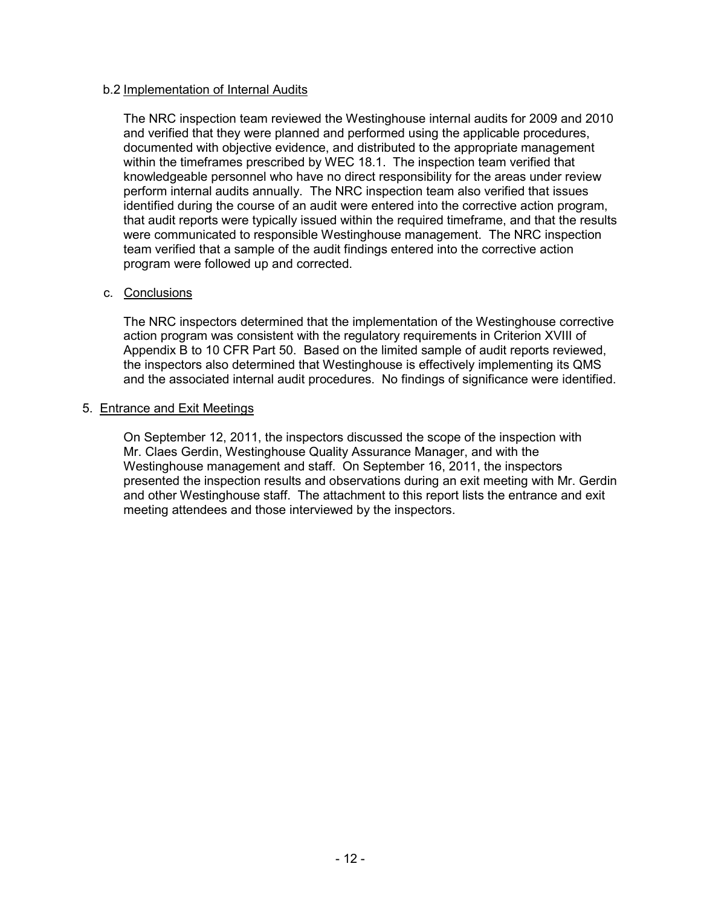## b.2 Implementation of Internal Audits

The NRC inspection team reviewed the Westinghouse internal audits for 2009 and 2010 and verified that they were planned and performed using the applicable procedures, documented with objective evidence, and distributed to the appropriate management within the timeframes prescribed by WEC 18.1. The inspection team verified that knowledgeable personnel who have no direct responsibility for the areas under review perform internal audits annually. The NRC inspection team also verified that issues identified during the course of an audit were entered into the corrective action program, that audit reports were typically issued within the required timeframe, and that the results were communicated to responsible Westinghouse management. The NRC inspection team verified that a sample of the audit findings entered into the corrective action program were followed up and corrected.

## c. Conclusions

The NRC inspectors determined that the implementation of the Westinghouse corrective action program was consistent with the regulatory requirements in Criterion XVIII of Appendix B to 10 CFR Part 50. Based on the limited sample of audit reports reviewed, the inspectors also determined that Westinghouse is effectively implementing its QMS and the associated internal audit procedures. No findings of significance were identified.

## 5. Entrance and Exit Meetings

On September 12, 2011, the inspectors discussed the scope of the inspection with Mr. Claes Gerdin, Westinghouse Quality Assurance Manager, and with the Westinghouse management and staff. On September 16, 2011, the inspectors presented the inspection results and observations during an exit meeting with Mr. Gerdin and other Westinghouse staff. The attachment to this report lists the entrance and exit meeting attendees and those interviewed by the inspectors.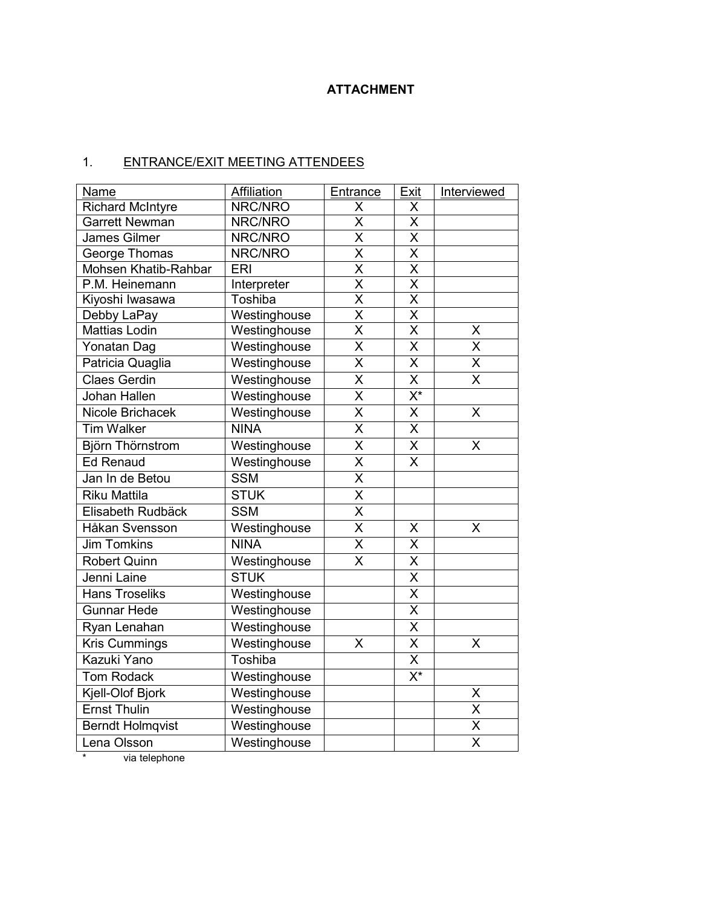# **ATTACHMENT**

# 1. ENTRANCE/EXIT MEETING ATTENDEES

| <b>Name</b>             | <b>Affiliation</b> | <b>Entrance</b>         | <b>Exit</b>                     | Interviewed             |
|-------------------------|--------------------|-------------------------|---------------------------------|-------------------------|
| <b>Richard McIntyre</b> | NRC/NRO            | Χ                       | X                               |                         |
| Garrett Newman          | NRC/NRO            | X                       | X                               |                         |
| <b>James Gilmer</b>     | NRC/NRO            | $\overline{\mathsf{x}}$ | $\overline{\mathsf{x}}$         |                         |
| George Thomas           | NRC/NRO            | $\overline{\mathsf{x}}$ | X                               |                         |
| Mohsen Khatib-Rahbar    | ERI                | $\overline{\mathsf{x}}$ | $\overline{\mathsf{x}}$         |                         |
| P.M. Heinemann          | Interpreter        | $\overline{\mathsf{x}}$ | $\overline{\mathsf{x}}$         |                         |
| Kiyoshi lwasawa         | Toshiba            | $\overline{\mathsf{x}}$ | $\overline{\mathsf{x}}$         |                         |
| Debby LaPay             | Westinghouse       | $\overline{\mathsf{x}}$ | $\overline{\mathsf{x}}$         |                         |
| <b>Mattias Lodin</b>    | Westinghouse       | $\overline{\sf x}$      | $\overline{\mathsf{x}}$         | X                       |
| Yonatan Dag             | Westinghouse       | $\overline{\sf x}$      | $\overline{\sf x}$              | $\overline{\mathsf{x}}$ |
| Patricia Quaglia        | Westinghouse       | $\overline{\mathsf{x}}$ | $\overline{\mathsf{x}}$         | $\overline{\mathsf{X}}$ |
| <b>Claes Gerdin</b>     | Westinghouse       | $\overline{\mathsf{x}}$ | $\overline{\mathsf{x}}$         | $\overline{\mathsf{x}}$ |
| Johan Hallen            | Westinghouse       | $\overline{\mathsf{x}}$ | $\overline{\mathsf{X}^*}$       |                         |
| Nicole Brichacek        | Westinghouse       | $\overline{\mathsf{x}}$ | $\overline{\mathsf{X}}$         | X                       |
| <b>Tim Walker</b>       | <b>NINA</b>        | $\overline{\sf x}$      | $\overline{\mathsf{x}}$         |                         |
| Björn Thörnstrom        | Westinghouse       | $\overline{\mathsf{x}}$ | $\overline{\mathsf{X}}$         | X                       |
| <b>Ed Renaud</b>        | Westinghouse       | $\overline{\sf x}$      | $\overline{\mathsf{x}}$         |                         |
| Jan In de Betou         | <b>SSM</b>         | $\overline{\mathsf{x}}$ |                                 |                         |
| <b>Riku Mattila</b>     | <b>STUK</b>        | $\overline{\mathsf{x}}$ |                                 |                         |
| Elisabeth Rudbäck       | <b>SSM</b>         | $\overline{\mathsf{x}}$ |                                 |                         |
| Håkan Svensson          | Westinghouse       | X                       | Χ                               | X                       |
| <b>Jim Tomkins</b>      | <b>NINA</b>        | $\overline{\mathsf{x}}$ | X                               |                         |
| <b>Robert Quinn</b>     | Westinghouse       | $\overline{\mathsf{x}}$ | $\overline{\mathsf{x}}$         |                         |
| Jenni Laine             | <b>STUK</b>        |                         | $\overline{\mathsf{x}}$         |                         |
| <b>Hans Troseliks</b>   | Westinghouse       |                         | $\overline{\mathsf{x}}$         |                         |
| <b>Gunnar Hede</b>      | Westinghouse       |                         | $\overline{\mathsf{x}}$         |                         |
| Ryan Lenahan            | Westinghouse       |                         | $\overline{\mathsf{x}}$         |                         |
| <b>Kris Cummings</b>    | Westinghouse       | X                       | Χ                               | X                       |
| Kazuki Yano             | Toshiba            |                         | X                               |                         |
| <b>Tom Rodack</b>       | Westinghouse       |                         | $\overline{\mathsf{X}^{\star}}$ |                         |
| Kjell-Olof Bjork        | Westinghouse       |                         |                                 | $\sf X$                 |
| <b>Ernst Thulin</b>     | Westinghouse       |                         |                                 | $\overline{\mathsf{x}}$ |
| <b>Berndt Holmqvist</b> | Westinghouse       |                         |                                 | $\overline{\mathsf{x}}$ |
| Lena Olsson             | Westinghouse       |                         |                                 | $\overline{\mathsf{x}}$ |
| والمستقل والمستقرين     |                    |                         |                                 |                         |

via telephone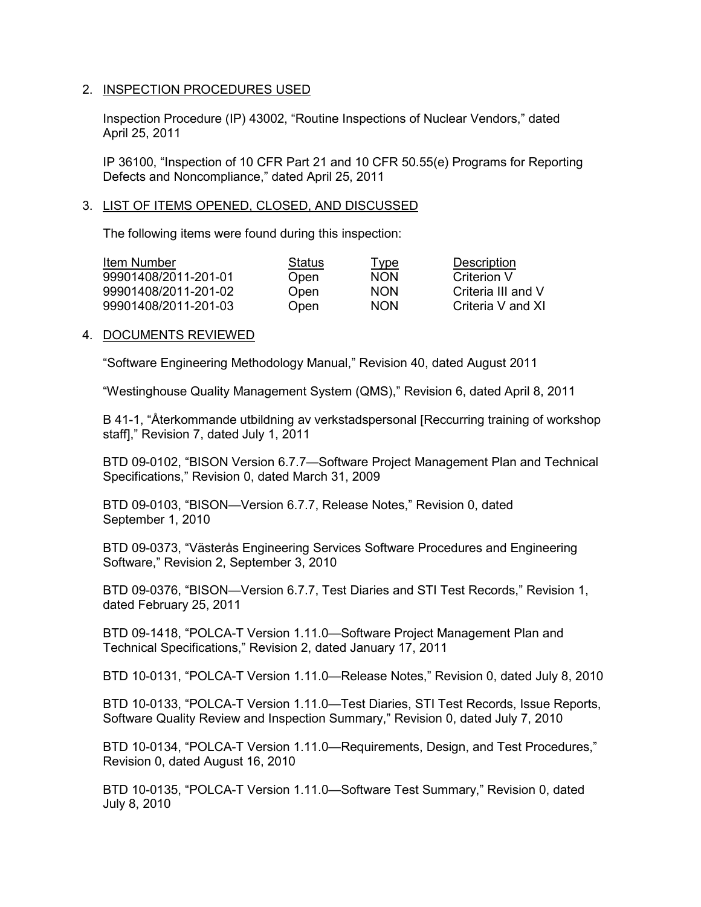#### 2. INSPECTION PROCEDURES USED

Inspection Procedure (IP) 43002, "Routine Inspections of Nuclear Vendors," dated April 25, 2011

IP 36100, "Inspection of 10 CFR Part 21 and 10 CFR 50.55(e) Programs for Reporting Defects and Noncompliance," dated April 25, 2011

#### 3. LIST OF ITEMS OPENED, CLOSED, AND DISCUSSED

The following items were found during this inspection:

| Item Number          | Status | <u>Type</u> | Description        |
|----------------------|--------|-------------|--------------------|
| 99901408/2011-201-01 | Open   | <b>NON</b>  | Criterion V        |
| 99901408/2011-201-02 | Open   | <b>NON</b>  | Criteria III and V |
| 99901408/2011-201-03 | Open   | <b>NON</b>  | Criteria V and XI  |

## 4. DOCUMENTS REVIEWED

"Software Engineering Methodology Manual," Revision 40, dated August 2011

"Westinghouse Quality Management System (QMS)," Revision 6, dated April 8, 2011

B 41-1, "Återkommande utbildning av verkstadspersonal [Reccurring training of workshop staff]," Revision 7, dated July 1, 2011

BTD 09-0102, "BISON Version 6.7.7—Software Project Management Plan and Technical Specifications," Revision 0, dated March 31, 2009

BTD 09-0103, "BISON—Version 6.7.7, Release Notes," Revision 0, dated September 1, 2010

BTD 09-0373, "Västerås Engineering Services Software Procedures and Engineering Software," Revision 2, September 3, 2010

BTD 09-0376, "BISON—Version 6.7.7, Test Diaries and STI Test Records," Revision 1, dated February 25, 2011

BTD 09-1418, "POLCA-T Version 1.11.0—Software Project Management Plan and Technical Specifications," Revision 2, dated January 17, 2011

BTD 10-0131, "POLCA-T Version 1.11.0—Release Notes," Revision 0, dated July 8, 2010

BTD 10-0133, "POLCA-T Version 1.11.0—Test Diaries, STI Test Records, Issue Reports, Software Quality Review and Inspection Summary," Revision 0, dated July 7, 2010

BTD 10-0134, "POLCA-T Version 1.11.0—Requirements, Design, and Test Procedures," Revision 0, dated August 16, 2010

BTD 10-0135, "POLCA-T Version 1.11.0—Software Test Summary," Revision 0, dated July 8, 2010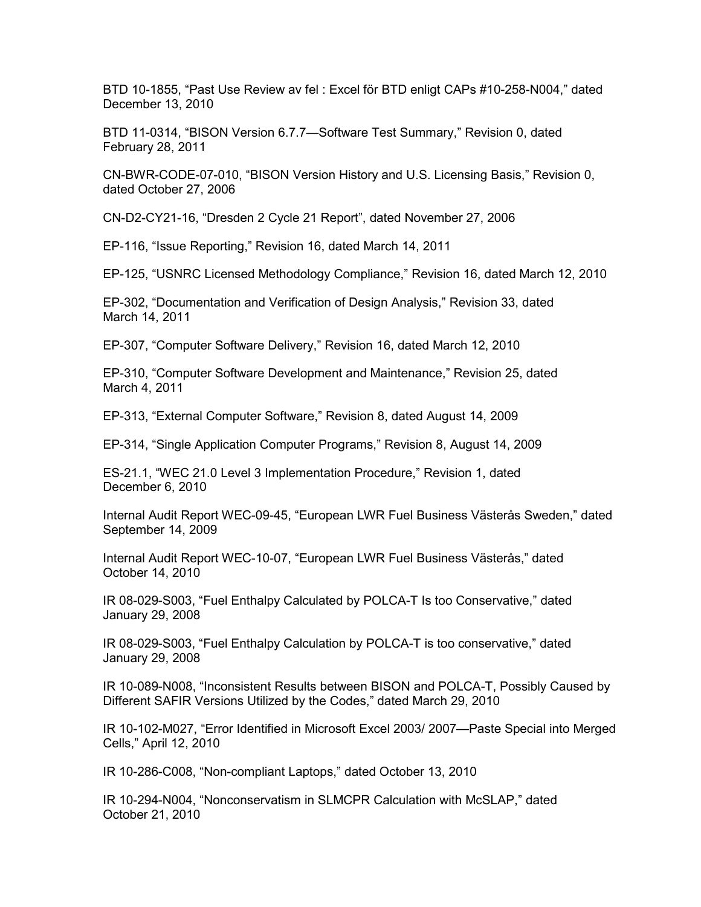BTD 10-1855, "Past Use Review av fel : Excel för BTD enligt CAPs #10-258-N004," dated December 13, 2010

BTD 11-0314, "BISON Version 6.7.7—Software Test Summary," Revision 0, dated February 28, 2011

CN-BWR-CODE-07-010, "BISON Version History and U.S. Licensing Basis," Revision 0, dated October 27, 2006

CN-D2-CY21-16, "Dresden 2 Cycle 21 Report", dated November 27, 2006

EP-116, "Issue Reporting," Revision 16, dated March 14, 2011

EP-125, "USNRC Licensed Methodology Compliance," Revision 16, dated March 12, 2010

EP-302, "Documentation and Verification of Design Analysis," Revision 33, dated March 14, 2011

EP-307, "Computer Software Delivery," Revision 16, dated March 12, 2010

EP-310, "Computer Software Development and Maintenance," Revision 25, dated March 4, 2011

EP-313, "External Computer Software," Revision 8, dated August 14, 2009

EP-314, "Single Application Computer Programs," Revision 8, August 14, 2009

ES-21.1, "WEC 21.0 Level 3 Implementation Procedure," Revision 1, dated December 6, 2010

Internal Audit Report WEC-09-45, "European LWR Fuel Business Västerås Sweden," dated September 14, 2009

Internal Audit Report WEC-10-07, "European LWR Fuel Business Västerås," dated October 14, 2010

IR 08-029-S003, "Fuel Enthalpy Calculated by POLCA-T Is too Conservative," dated January 29, 2008

IR 08-029-S003, "Fuel Enthalpy Calculation by POLCA-T is too conservative," dated January 29, 2008

IR 10-089-N008, "Inconsistent Results between BISON and POLCA-T, Possibly Caused by Different SAFIR Versions Utilized by the Codes," dated March 29, 2010

IR 10-102-M027, "Error Identified in Microsoft Excel 2003/ 2007—Paste Special into Merged Cells," April 12, 2010

IR 10-286-C008, "Non-compliant Laptops," dated October 13, 2010

IR 10-294-N004, "Nonconservatism in SLMCPR Calculation with McSLAP," dated October 21, 2010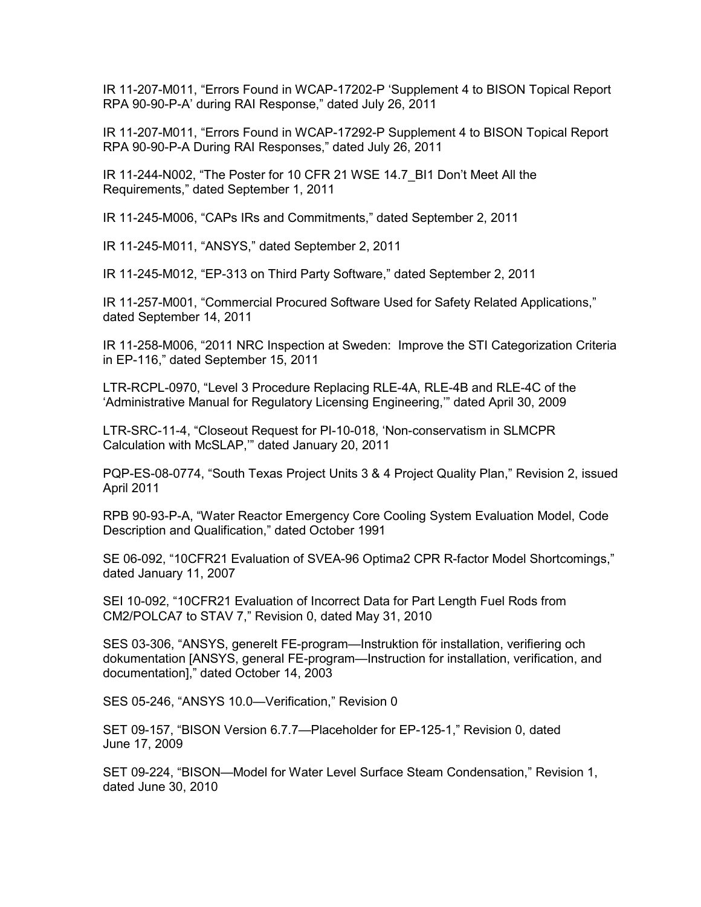IR 11-207-M011, "Errors Found in WCAP-17202-P 'Supplement 4 to BISON Topical Report RPA 90-90-P-A' during RAI Response," dated July 26, 2011

IR 11-207-M011, "Errors Found in WCAP-17292-P Supplement 4 to BISON Topical Report RPA 90-90-P-A During RAI Responses," dated July 26, 2011

IR 11-244-N002, "The Poster for 10 CFR 21 WSE 14.7\_BI1 Don't Meet All the Requirements," dated September 1, 2011

IR 11-245-M006, "CAPs IRs and Commitments," dated September 2, 2011

IR 11-245-M011, "ANSYS," dated September 2, 2011

IR 11-245-M012, "EP-313 on Third Party Software," dated September 2, 2011

IR 11-257-M001, "Commercial Procured Software Used for Safety Related Applications," dated September 14, 2011

IR 11-258-M006, "2011 NRC Inspection at Sweden: Improve the STI Categorization Criteria in EP-116," dated September 15, 2011

LTR-RCPL-0970, "Level 3 Procedure Replacing RLE-4A, RLE-4B and RLE-4C of the 'Administrative Manual for Regulatory Licensing Engineering,'" dated April 30, 2009

LTR-SRC-11-4, "Closeout Request for PI-10-018, 'Non-conservatism in SLMCPR Calculation with McSLAP,'" dated January 20, 2011

PQP-ES-08-0774, "South Texas Project Units 3 & 4 Project Quality Plan," Revision 2, issued April 2011

RPB 90-93-P-A, "Water Reactor Emergency Core Cooling System Evaluation Model, Code Description and Qualification," dated October 1991

SE 06-092, "10CFR21 Evaluation of SVEA-96 Optima2 CPR R-factor Model Shortcomings," dated January 11, 2007

SEI 10-092, "10CFR21 Evaluation of Incorrect Data for Part Length Fuel Rods from CM2/POLCA7 to STAV 7," Revision 0, dated May 31, 2010

SES 03-306, "ANSYS, generelt FE-program—Instruktion för installation, verifiering och dokumentation [ANSYS, general FE-program—Instruction for installation, verification, and documentation]," dated October 14, 2003

SES 05-246, "ANSYS 10.0—Verification," Revision 0

SET 09-157, "BISON Version 6.7.7—Placeholder for EP-125-1," Revision 0, dated June 17, 2009

SET 09-224, "BISON—Model for Water Level Surface Steam Condensation," Revision 1, dated June 30, 2010